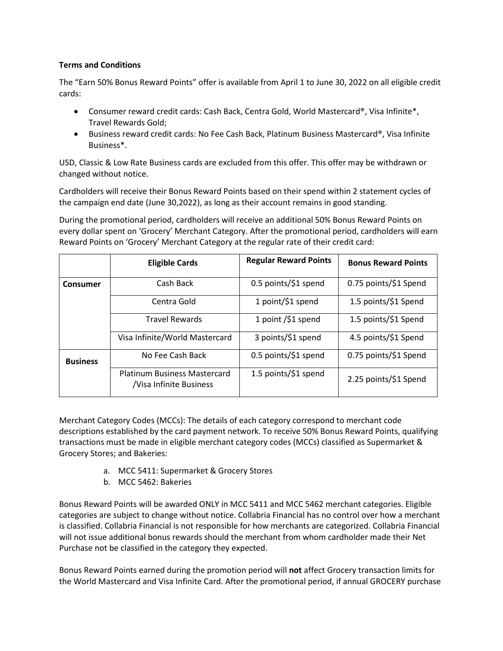## **Terms and Conditions**

The "Earn 50% Bonus Reward Points" offer is available from April 1 to June 30, 2022 on all eligible credit cards:

- Consumer reward credit cards: Cash Back, Centra Gold, World Mastercard®, Visa Infinite\*, Travel Rewards Gold;
- Business reward credit cards: No Fee Cash Back, Platinum Business Mastercard®, Visa Infinite Business\*.

USD, Classic & Low Rate Business cards are excluded from this offer. This offer may be withdrawn or changed without notice.

Cardholders will receive their Bonus Reward Points based on their spend within 2 statement cycles of the campaign end date (June 30,2022), as long as their account remains in good standing.

During the promotional period, cardholders will receive an additional 50% Bonus Reward Points on every dollar spent on 'Grocery' Merchant Category. After the promotional period, cardholders will earn Reward Points on 'Grocery' Merchant Category at the regular rate of their credit card:

|                 | <b>Eligible Cards</b>                                          | <b>Regular Reward Points</b> | <b>Bonus Reward Points</b> |
|-----------------|----------------------------------------------------------------|------------------------------|----------------------------|
| Consumer        | Cash Back                                                      | 0.5 points/\$1 spend         | 0.75 points/\$1 Spend      |
|                 | Centra Gold                                                    | 1 point/\$1 spend            | 1.5 points/\$1 Spend       |
|                 | <b>Travel Rewards</b>                                          | 1 point /\$1 spend           | 1.5 points/\$1 Spend       |
|                 | Visa Infinite/World Mastercard                                 | 3 points/\$1 spend           | 4.5 points/\$1 Spend       |
| <b>Business</b> | No Fee Cash Back                                               | 0.5 points/\$1 spend         | 0.75 points/\$1 Spend      |
|                 | <b>Platinum Business Mastercard</b><br>/Visa Infinite Business | 1.5 points/\$1 spend         | 2.25 points/\$1 Spend      |

Merchant Category Codes (MCCs): The details of each category correspond to merchant code descriptions established by the card payment network. To receive 50% Bonus Reward Points, qualifying transactions must be made in eligible merchant category codes (MCCs) classified as Supermarket & Grocery Stores; and Bakeries:

- a. MCC 5411: Supermarket & Grocery Stores
- b. MCC 5462: Bakeries

Bonus Reward Points will be awarded ONLY in MCC 5411 and MCC 5462 merchant categories. Eligible categories are subject to change without notice. Collabria Financial has no control over how a merchant is classified. Collabria Financial is not responsible for how merchants are categorized. Collabria Financial will not issue additional bonus rewards should the merchant from whom cardholder made their Net Purchase not be classified in the category they expected.

Bonus Reward Points earned during the promotion period will **not** affect Grocery transaction limits for the World Mastercard and Visa Infinite Card. After the promotional period, if annual GROCERY purchase